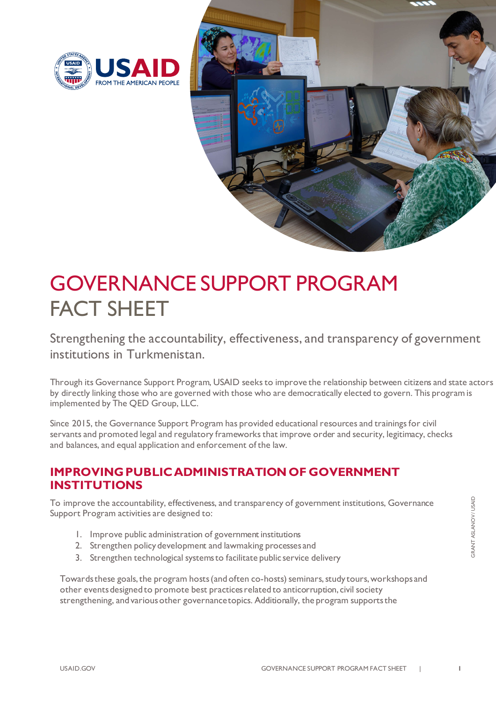



## GOVERNANCE SUPPORT PROGRAM FACT SHEET

Strengthening the accountability, effectiveness, and transparency of government institutions in Turkmenistan.

Through its Governance Support Program, USAID seeks to improve the relationship between citizens and state actors by directly linking those who are governed with those who are democratically elected to govern. This program is implemented by The QED Group, LLC.

Since 2015, the Governance Support Program has provided educational resources and trainings for civil servants and promoted legal and regulatory frameworks that improve order and security, legitimacy, checks and balances, and equal application and enforcement of the law.

## **IMPROVING PUBLIC ADMINISTRATION OF GOVERNMENT INSTITUTIONS**

To improve the accountability, effectiveness, and transparency of government institutions, Governance Support Program activities are designed to:

- 1. Improve public administration of government institutions
- 2. Strengthen policy development and lawmaking processes and
- 3. Strengthen technological systemsto facilitate public service delivery

Towards these goals, the program hosts (and often co-hosts) seminars, study tours, workshops and other eventsdesigned to promote best practicesrelated to anticorruption, civil society strengthening, and various other governance topics. Additionally, the program supports the